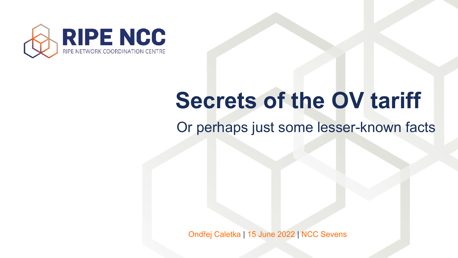

### Or perhaps just some lesser-known facts **Secrets of the OV tariff**



Ondřej Caletka | 15 June 2022 | NCC Sevens

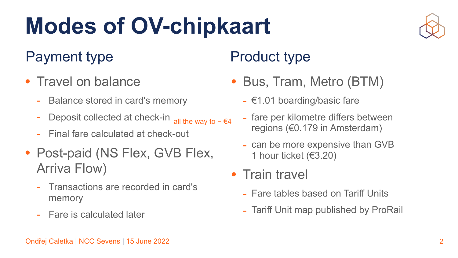

- Travel on balance
	- Balance stored in card's memory
	- Deposit collected at check-in - fare per kilometre differs between regions (€0.179 in Amsterdam) all the way to  $-$  €4
	- Final fare calculated at check-out
- Post-paid (NS Flex, GVB Flex, Arriva Flow)
	- Transactions are recorded in card's memory
	- Fare is calculated later

## **Modes of OV-chipkaart**

### Payment type Product type

- can be more expensive than GVB 1 hour ticket (€3.20)
- Train travel
	- Fare tables based on Tariff Units
	- Tariff Unit map published by ProRail

- Bus, Tram, Metro (BTM)
	- €1.01 boarding/basic fare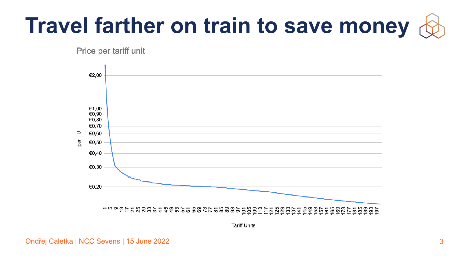**Tariff Units** 



## **Travel farther on train to save money**

### Price per tariff unit

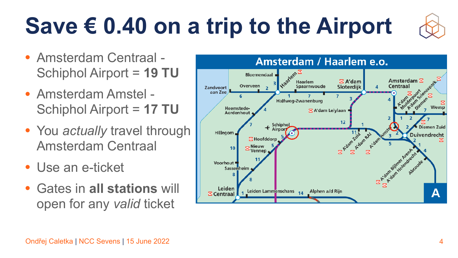



### **Save € 0.40 on a trip to the Airport**

- Amsterdam Centraal Schiphol Airport = **19 TU**
- Amsterdam Amstel Schiphol Airport = **17 TU**
- You *actually* travel through Amsterdam Centraal
- Use an e-ticket
- Gates in **all stations** will open for any *valid* ticket



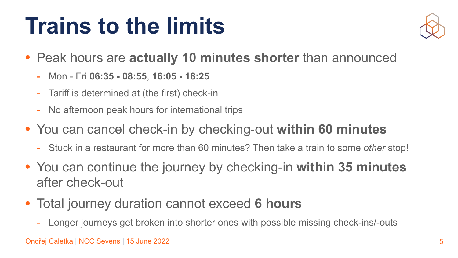



- Peak hours are **actually 10 minutes shorter** than announced
	- Mon Fri **06:35 08:55**, **16:05 18:25**
	- Tariff is determined at (the first) check-in
	- No afternoon peak hours for international trips
- You can cancel check-in by checking-out **within 60 minutes**
	- Stuck in a restaurant for more than 60 minutes? Then take a train to some *other* stop!
- You can continue the journey by checking-in **within 35 minutes**  after check-out
- Total journey duration cannot exceed **6 hours**
	- Longer journeys get broken into shorter ones with possible missing check-ins/-outs

### **Trains to the limits**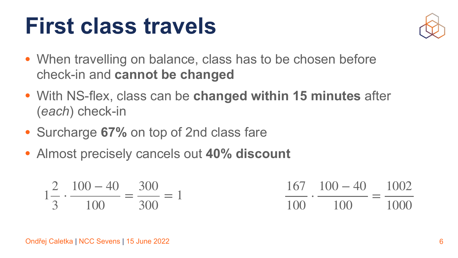

### **First class travels**

- When travelling on balance, class has to be chosen before check-in and **cannot be changed**
- With NS-flex, class can be **changed within 15 minutes** after (*each*) check-in
- Surcharge **67%** on top of 2nd class fare
- Almost precisely cancels out **40% discount**

6

167 100 − 40 100 ⋅ 100 = 1002 1000

$$
1\frac{2}{3} \cdot \frac{100 - 40}{100} = \frac{300}{300} = 1
$$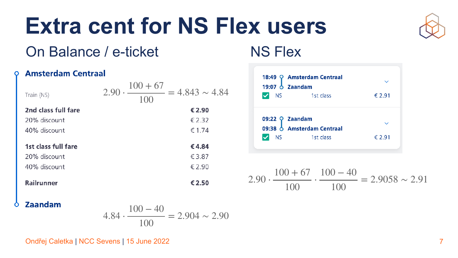### **Extra cent for NS Flex users** On Balance / e-ticket NS Flex



### **Amsterdam Centraal** O

7

$$
4.84 \cdot \frac{100 - 40}{100} = 2.904 \sim 2
$$

$$
2.90 \cdot \frac{100 + 67}{100} \cdot \frac{100 - 40}{100} = 2.9058 \sim 2.91
$$

2.90



| Train (NS)                                          | $= 4.843 \sim 4$<br>2.9<br>1()() |
|-----------------------------------------------------|----------------------------------|
| 2nd class full fare                                 | € 2.90                           |
| 20% discount                                        | € 2.32                           |
| 40% discount                                        | $\epsilon$ 1.74                  |
| 1st class full fare<br>20% discount<br>40% discount | €4.84<br>€3.87<br>€ 2.90         |
| <b>Railrunner</b>                                   | €2.50                            |
|                                                     |                                  |



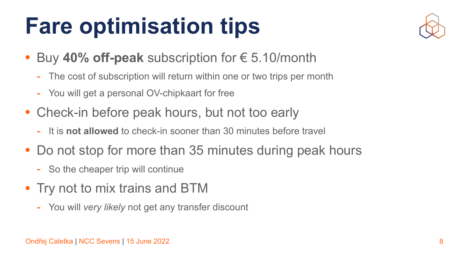



### **Fare optimisation tips**

- Buy **40% off-peak** subscription for € 5.10/month
	- The cost of subscription will return within one or two trips per month
	- You will get a personal OV-chipkaart for free
- Check-in before peak hours, but not too early
	- It is **not allowed** to check-in sooner than 30 minutes before travel
- Do not stop for more than 35 minutes during peak hours
	- So the cheaper trip will continue
- Try not to mix trains and BTM
	- You will *very likely* not get any transfer discount